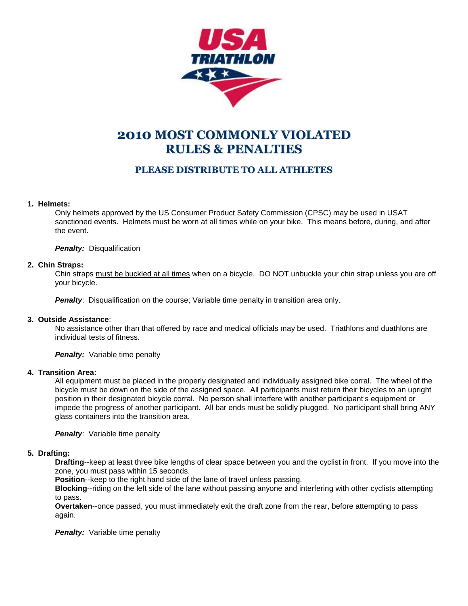

# **2010 MOST COMMONLY VIOLATED RULES & PENALTIES**

# **PLEASE DISTRIBUTE TO ALL ATHLETES**

# **1. Helmets:**

Only helmets approved by the US Consumer Product Safety Commission (CPSC) may be used in USAT sanctioned events. Helmets must be worn at all times while on your bike. This means before, during, and after the event.

*Penalty:* Disqualification

# **2. Chin Straps:**

Chin straps must be buckled at all times when on a bicycle. DO NOT unbuckle your chin strap unless you are off your bicycle.

**Penalty:** Disqualification on the course; Variable time penalty in transition area only.

# **3. Outside Assistance**:

No assistance other than that offered by race and medical officials may be used. Triathlons and duathlons are individual tests of fitness.

*Penalty:* Variable time penalty

# **4. Transition Area:**

All equipment must be placed in the properly designated and individually assigned bike corral. The wheel of the bicycle must be down on the side of the assigned space. All participants must return their bicycles to an upright position in their designated bicycle corral. No person shall interfere with another participant's equipment or impede the progress of another participant. All bar ends must be solidly plugged. No participant shall bring ANY glass containers into the transition area.

**Penalty:** Variable time penalty

# **5. Drafting:**

**Drafting**--keep at least three bike lengths of clear space between you and the cyclist in front. If you move into the zone, you must pass within 15 seconds.

**Position**--keep to the right hand side of the lane of travel unless passing.

**Blocking**--riding on the left side of the lane without passing anyone and interfering with other cyclists attempting to pass.

**Overtaken**--once passed, you must immediately exit the draft zone from the rear, before attempting to pass again.

*Penalty:* Variable time penalty